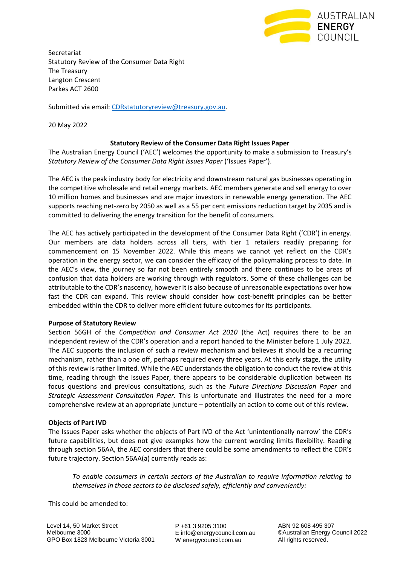

Secretariat Statutory Review of the Consumer Data Right The Treasury Langton Crescent Parkes ACT 2600

Submitted via email: [CDRstatutoryreview@treasury.gov.au.](mailto:CDRstatutoryreview@treasury.gov.au)

20 May 2022

# **Statutory Review of the Consumer Data Right Issues Paper**

The Australian Energy Council ('AEC') welcomes the opportunity to make a submission to Treasury's *Statutory Review of the Consumer Data Right Issues Paper* ('Issues Paper').

The AEC is the peak industry body for electricity and downstream natural gas businesses operating in the competitive wholesale and retail energy markets. AEC members generate and sell energy to over 10 million homes and businesses and are major investors in renewable energy generation. The AEC supports reaching net-zero by 2050 as well as a 55 per cent emissions reduction target by 2035 and is committed to delivering the energy transition for the benefit of consumers.

The AEC has actively participated in the development of the Consumer Data Right ('CDR') in energy. Our members are data holders across all tiers, with tier 1 retailers readily preparing for commencement on 15 November 2022. While this means we cannot yet reflect on the CDR's operation in the energy sector, we can consider the efficacy of the policymaking process to date. In the AEC's view, the journey so far not been entirely smooth and there continues to be areas of confusion that data holders are working through with regulators. Some of these challenges can be attributable to the CDR's nascency, however it is also because of unreasonable expectations over how fast the CDR can expand. This review should consider how cost-benefit principles can be better embedded within the CDR to deliver more efficient future outcomes for its participants.

## **Purpose of Statutory Review**

Section 56GH of the *Competition and Consumer Act 2010* (the Act) requires there to be an independent review of the CDR's operation and a report handed to the Minister before 1 July 2022. The AEC supports the inclusion of such a review mechanism and believes it should be a recurring mechanism, rather than a one off, perhaps required every three years. At this early stage, the utility of this review is rather limited. While the AEC understands the obligation to conduct the review at this time, reading through the Issues Paper, there appears to be considerable duplication between its focus questions and previous consultations, such as the *Future Directions Discussion Paper* and *Strategic Assessment Consultation Paper.* This is unfortunate and illustrates the need for a more comprehensive review at an appropriate juncture – potentially an action to come out of this review.

## **Objects of Part IVD**

The Issues Paper asks whether the objects of Part IVD of the Act 'unintentionally narrow' the CDR's future capabilities, but does not give examples how the current wording limits flexibility. Reading through section 56AA, the AEC considers that there could be some amendments to reflect the CDR's future trajectory. Section 56AA(a) currently reads as:

*To enable consumers in certain sectors of the Australian to require information relating to themselves in those sectors to be disclosed safely, efficiently and conveniently:*

This could be amended to:

P +61 3 9205 3100 E info@energycouncil.com.au W energycouncil.com.au

ABN 92 608 495 307 ©Australian Energy Council 2022 All rights reserved.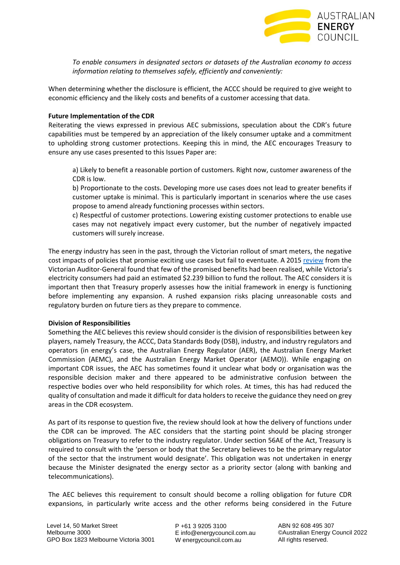

*To enable consumers in designated sectors or datasets of the Australian economy to access information relating to themselves safely, efficiently and conveniently:* 

When determining whether the disclosure is efficient, the ACCC should be required to give weight to economic efficiency and the likely costs and benefits of a customer accessing that data.

### **Future Implementation of the CDR**

Reiterating the views expressed in previous AEC submissions, speculation about the CDR's future capabilities must be tempered by an appreciation of the likely consumer uptake and a commitment to upholding strong customer protections. Keeping this in mind, the AEC encourages Treasury to ensure any use cases presented to this Issues Paper are:

a) Likely to benefit a reasonable portion of customers. Right now, customer awareness of the CDR is low.

b) Proportionate to the costs. Developing more use cases does not lead to greater benefits if customer uptake is minimal. This is particularly important in scenarios where the use cases propose to amend already functioning processes within sectors.

c) Respectful of customer protections. Lowering existing customer protections to enable use cases may not negatively impact every customer, but the number of negatively impacted customers will surely increase.

The energy industry has seen in the past, through the Victorian rollout of smart meters, the negative cost impacts of policies that promise exciting use cases but fail to eventuate. A 2015 [review](https://www.audit.vic.gov.au/report/realising-benefits-smart-meters?section=) from the Victorian Auditor-General found that few of the promised benefits had been realised, while Victoria's electricity consumers had paid an estimated \$2.239 billion to fund the rollout. The AEC considers it is important then that Treasury properly assesses how the initial framework in energy is functioning before implementing any expansion. A rushed expansion risks placing unreasonable costs and regulatory burden on future tiers as they prepare to commence.

## **Division of Responsibilities**

Something the AEC believes this review should consider is the division of responsibilities between key players, namely Treasury, the ACCC, Data Standards Body (DSB), industry, and industry regulators and operators (in energy's case, the Australian Energy Regulator (AER), the Australian Energy Market Commission (AEMC), and the Australian Energy Market Operator (AEMO)). While engaging on important CDR issues, the AEC has sometimes found it unclear what body or organisation was the responsible decision maker and there appeared to be administrative confusion between the respective bodies over who held responsibility for which roles. At times, this has had reduced the quality of consultation and made it difficult for data holders to receive the guidance they need on grey areas in the CDR ecosystem.

As part of its response to question five, the review should look at how the delivery of functions under the CDR can be improved. The AEC considers that the starting point should be placing stronger obligations on Treasury to refer to the industry regulator. Under section 56AE of the Act, Treasury is required to consult with the 'person or body that the Secretary believes to be the primary regulator of the sector that the instrument would designate'. This obligation was not undertaken in energy because the Minister designated the energy sector as a priority sector (along with banking and telecommunications).

The AEC believes this requirement to consult should become a rolling obligation for future CDR expansions, in particularly write access and the other reforms being considered in the Future

P +61 3 9205 3100 E info@energycouncil.com.au W energycouncil.com.au

ABN 92 608 495 307 ©Australian Energy Council 2022 All rights reserved.